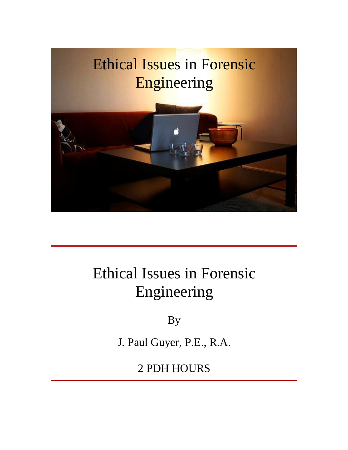

# Ethical Issues in Forensic Engineering

By

J. Paul Guyer, P.E., R.A.

2 PDH HOURS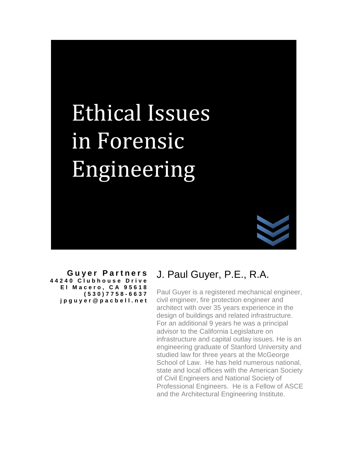# Issues **Ethical Issues<br>in Forensic** Engineering

**G u ye r P ar t n e r s 4 4 2 4 0 C l u b h o u s e D r i v e E l M a c e ro , C A 9 5 6 1 8 ( 5 3 0 ) 7 7 5 8 - 6 6 3 7 j p g u y e r [@](mailto:jpguyer@pacbell.net) p a c b e l l . n e t**

# J. Paul Guyer, P.E., R.A.

Paul Guyer is a registered mechanical engineer, civil engineer, fire protection engineer and architect with over 35 years experience in the design of buildings and related infrastructure. For an additional 9 years he was a principal advisor to the California Legislature on infrastructure and capital outlay issues. He is an engineering graduate of Stanford University and studied law for three years at the McGeorge School of Law. He has held numerous national, state and local offices with the American Society of Civil Engineers and National Society of Professional Engineers. He is a Fellow of ASCE and the Architectural Engineering Institute.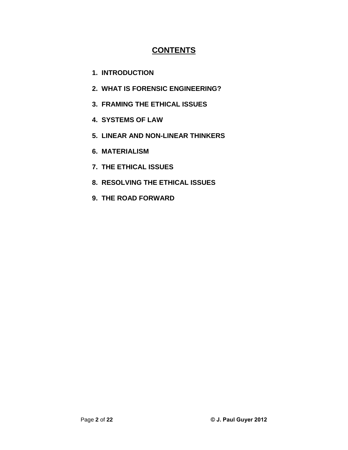### **CONTENTS**

- **1. INTRODUCTION**
- **2. WHAT IS FORENSIC ENGINEERING?**
- **3. FRAMING THE ETHICAL ISSUES**
- **4. SYSTEMS OF LAW**
- **5. LINEAR AND NON-LINEAR THINKERS**
- **6. MATERIALISM**
- **7. THE ETHICAL ISSUES**
- **8. RESOLVING THE ETHICAL ISSUES**
- **9. THE ROAD FORWARD**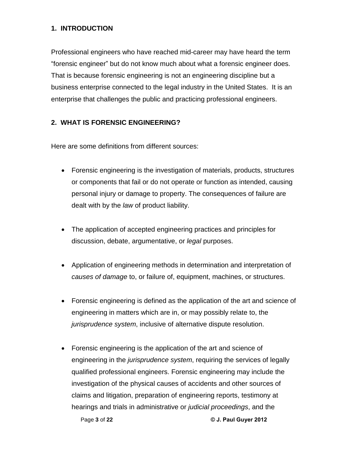#### **1. INTRODUCTION**

Professional engineers who have reached mid-career may have heard the term forensic engineer<sup>î</sup> but do not know much about what <sup>a</sup> forensic engineer does. That is because forensic engineering is not an engineering discipline but a business enterprise connected to the legal industry in the United States. It is an enterprise that challenges the public and practicing professional engineers.

#### **2. WHAT IS FORENSIC ENGINEERING?**

Here are some definitions from different sources:

- Forensic engineering is the investigation of materials, products, structures or components that fail or do not operate or function as intended, causing personal injury or damage to property. The consequences of failure are dealt with by the law of product liability.
- The application of accepted engineering practices and principles for discussion, debate, argumentative, or *legal* purposes.
- Application of engineering methods in determination and interpretation of causes of damage to, or failure of, equipment, machines, or structures.
- Forensic engineering is defined as the application of the art and science of engineering in matters which are in, or may possibly relate to, the jurisprudence system, inclusive of alternative dispute resolution.
- Page **<sup>3</sup>** of **<sup>22</sup> © J. Paul Guyer <sup>2012</sup>** hearings and trials in administrative or judicial proceedings, and the Forensic engineering is the application of the art and science of engineering in the *jurisprudence system*, requiring the services of legally qualified professional engineers. Forensic engineering may include the investigation of the physical causes of accidents and other sources of claims and litigation, preparation of engineering reports, testimony at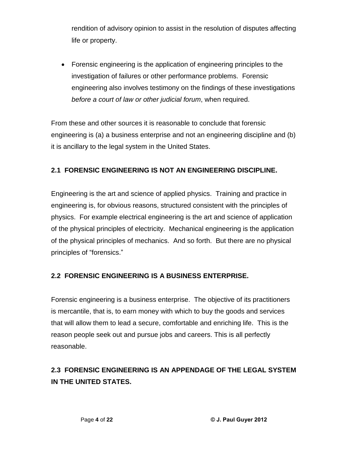rendition of advisory opinion to assist in the resolution of disputes affecting life or property.

 Forensic engineering is the application of engineering principles to the investigation of failures or other performance problems. Forensic engineering also involves testimony on the findings of these investigations before a court of law or other judicial forum, when required.

From these and other sources it is reasonable to conclude that forensic engineering is (a) a business enterprise and not an engineering discipline and (b) it is ancillary to the legal system in the United States.

#### **2.1 FORENSIC ENGINEERING IS NOT AN ENGINEERING DISCIPLINE.**

Engineering is the art and science of applied physics. Training and practice in engineering is, for obvious reasons, structured consistent with the principles of physics. For example electrical engineering is the art and science of application of the physical principles of electricity. Mechanical engineering is the application of the physical principles of mechanics. And so forth. But there are no physical principles of the physical principles of m<br>principles of "forensics."

#### **2.2 FORENSIC ENGINEERING IS A BUSINESS ENTERPRISE.**

Forensic engineering is a business enterprise. The objective of its practitioners is mercantile, that is, to earn money with which to buy the goods and services that will allow them to lead a secure, comfortable and enriching life. This is the reason people seek out and pursue jobs and careers. This is all perfectly reasonable.

#### **2.3 FORENSIC ENGINEERING IS AN APPENDAGE OF THE LEGAL SYSTEM IN THE UNITED STATES.**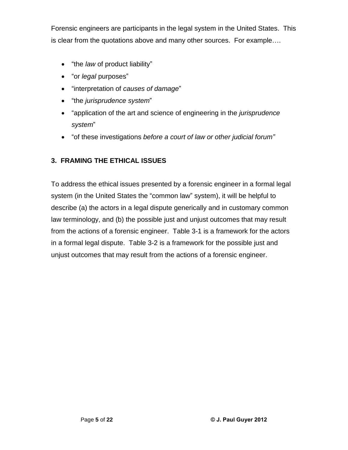Forensic engineers are participants in the legal system in the United States. This is clear from the quotations above and many other sources. For example....

- ै।<br>● "the *law* of product liability" ● "the *law* of product liabili<br>● "or *legal* purposes"
- 
- "or *legal* purposes"<br>● "interpretation of *causes of damage*" • "interpretation of *causes of dami*<br>• "the *jurisprudence system*"
- 
- "the *jurisprudence system*"<br>"application of the art and science of engineering in the *jurisprudence* ● "application o<br>system"
- ingtiverenaby system<sup>?</sup><br>■ "of these investigations *before a court of law or other judicial forum*"

#### **3. FRAMING THE ETHICAL ISSUES**

To address the ethical issues presented by a forensic engineer in a formal legal To address the ethical issues presented by a forensic engineer in a formal legal<br>system (in the United States the "common law" system), it will be helpful to describe (a) the actors in a legal dispute generically and in customary common law terminology, and (b) the possible just and unjust outcomes that may result from the actions of a forensic engineer. Table 3-1 is a framework for the actors in a formal legal dispute. Table 3-2 is a framework for the possible just and unjust outcomes that may result from the actions of a forensic engineer.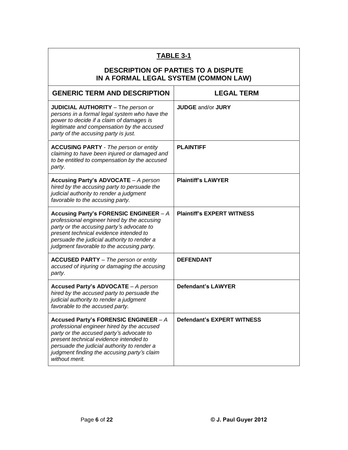| TABLE 3-1                                                                                                                                                                                                                                                                                 |                                   |  |  |
|-------------------------------------------------------------------------------------------------------------------------------------------------------------------------------------------------------------------------------------------------------------------------------------------|-----------------------------------|--|--|
| <b>DESCRIPTION OF PARTIES TO A DISPUTE</b><br>IN A FORMAL LEGAL SYSTEM (COMMON LAW)                                                                                                                                                                                                       |                                   |  |  |
| <b>GENERIC TERM AND DESCRIPTION</b>                                                                                                                                                                                                                                                       | <b>LEGAL TERM</b>                 |  |  |
| <b>JUDICIAL AUTHORITY</b> - The person or<br>persons in a formal legal system who have the<br>power to decide if a claim of damages is<br>legitimate and compensation by the accused<br>party of the accusing party is just.                                                              | <b>JUDGE and/or JURY</b>          |  |  |
| <b>ACCUSING PARTY</b> - The person or entity<br>claiming to have been injured or damaged and<br>to be entitled to compensation by the accused<br>party.                                                                                                                                   | <b>PLAINTIFF</b>                  |  |  |
| <b>Accusing Party's ADVOCATE - A person</b><br>hired by the accusing party to persuade the<br>judicial authority to render a judgment<br>favorable to the accusing party.                                                                                                                 | <b>Plaintiff's LAWYER</b>         |  |  |
| Accusing Party's FORENSIC ENGINEER - A<br>professional engineer hired by the accusing<br>party or the accusing party's advocate to<br>present technical evidence intended to<br>persuade the judicial authority to render a<br>judgment favorable to the accusing party.                  | <b>Plaintiff's EXPERT WITNESS</b> |  |  |
| <b>ACCUSED PARTY</b> - The person or entity<br>accused of injuring or damaging the accusing<br>party.                                                                                                                                                                                     | <b>DEFENDANT</b>                  |  |  |
| Accused Party's ADVOCATE - A person<br>hired by the accused party to persuade the<br>judicial authority to render a judgment<br>favorable to the accused party.                                                                                                                           | <b>Defendant's LAWYER</b>         |  |  |
| Accused Party's FORENSIC ENGINEER - A<br>professional engineer hired by the accused<br>party or the accused party's advocate to<br>present technical evidence intended to<br>persuade the judicial authority to render a<br>judgment finding the accusing party's claim<br>without merit. | <b>Defendant's EXPERT WITNESS</b> |  |  |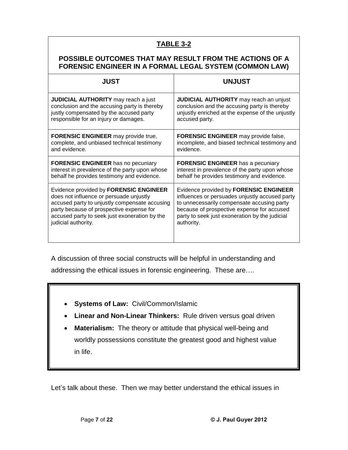#### **TABLE 3-2**

#### **POSSIBLE OUTCOMES THAT MAY RESULT FROM THE ACTIONS OF A FORENSIC ENGINEER IN A FORMAL LEGAL SYSTEM (COMMON LAW)**

| <b>JUST</b>                                    | <b>UNJUST</b>                                    |
|------------------------------------------------|--------------------------------------------------|
| <b>JUDICIAL AUTHORITY</b> may reach a just     | <b>JUDICIAL AUTHORITY</b> may reach an unjust    |
| conclusion and the accusing party is thereby   | conclusion and the accusing party is thereby     |
| justly compensated by the accused party        | unjustly enriched at the expense of the unjustly |
| responsible for an injury or damages.          | accused party.                                   |
| <b>FORENSIC ENGINEER</b> may provide true,     | <b>FORENSIC ENGINEER</b> may provide false,      |
| complete, and unbiased technical testimony     | incomplete, and biased technical testimony and   |
| and evidence.                                  | evidence.                                        |
| FORENSIC ENGINEER has no pecuniary             | <b>FORENSIC ENGINEER</b> has a pecuniary         |
| interest in prevalence of the party upon whose | interest in prevalence of the party upon whose   |
| behalf he provides testimony and evidence.     | behalf he provides testimony and evidence.       |
| Evidence provided by FORENSIC ENGINEER         | Evidence provided by FORENSIC ENGINEER           |
| does not influence or persuade unjustly        | influences or persuades unjustly accused party   |
| accused party to unjustly compensate accusing  | to unnecessarily compensate accusing party       |
| party because of prospective expense for       | because of prospective expense for accused       |
| accused party to seek just exoneration by the  | party to seek just exoneration by the judicial   |
| judicial authority.                            | authority.                                       |

A discussion of three social constructs will be helpful in understanding and A discussion of three social constructs will be helpful in understanding a<br>addressing the ethical issues in forensic engineering. These are….

- **Systems of Law:** Civil/Common/Islamic
- **Linear and Non-Linear Thinkers:** Rule driven versus goal driven  $\|\cdot\|$
- **Materialism:** The theory or attitude that physical well-being and worldly possessions constitute the greatest good and highest value in life.

Let's talk about these. Then we may better understand the ethical issues in

٦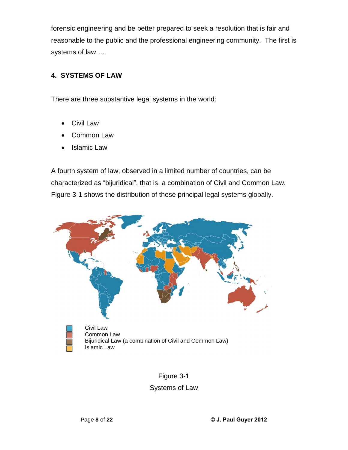forensic engineering and be better prepared to seek a resolution that is fair and reasonable to the public and the professional engineering community. The first is reasonable to the publ<br>systems of law....

#### **4. SYSTEMS OF LAW**

There are three substantive legal systems in the world:

- Civil Law
- Common Law
- Islamic Law

A fourth system of law, observed in a limited number of countries, can be characterized as "bijuridical", that is, a combination of Civil and Common Law. Figure 3-1 shows the distribution of these principal legal systems globally.



# Figure 3-1

#### Systems of Law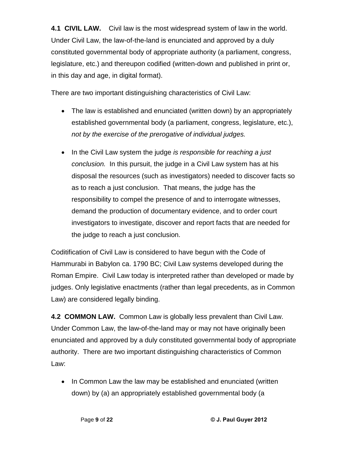**4.1 CIVIL LAW.** Civil law is the most widespread system of law in the world. Under Civil Law, the law-of-the-land is enunciated and approved by a duly constituted governmental body of appropriate authority (a parliament, congress, legislature, etc.) and thereupon codified (written-down and published in print or, in this day and age, in digital format).

There are two important distinguishing characteristics of Civil Law:

- The law is established and enunciated (written down) by an appropriately established governmental body (a parliament, congress, legislature, etc.), not by the exercise of the prerogative of individual judges.
- In the Civil Law system the judge is responsible for reaching a just conclusion. In this pursuit, the judge in a Civil Law system has at his disposal the resources (such as investigators) needed to discover facts so as to reach a just conclusion. That means, the judge has the responsibility to compel the presence of and to interrogate witnesses, demand the production of documentary evidence, and to order court investigators to investigate, discover and report facts that are needed for the judge to reach a just conclusion.

Coditification of Civil Law is considered to have begun with the Code of Hammurabi in Babylon ca. 1790 BC; Civil Law systems developed during the Roman Empire. Civil Law today is interpreted rather than developed or made by judges. Only legislative enactments (rather than legal precedents, as in Common Law) are considered legally binding.

**4.2 COMMON LAW.** Common Law is globally less prevalent than Civil Law. Under Common Law, the law-of-the-land may or may not have originally been enunciated and approved by a duly constituted governmental body of appropriate authority. There are two important distinguishing characteristics of Common Law:

• In Common Law the law may be established and enunciated (written down) by (a) an appropriately established governmental body (a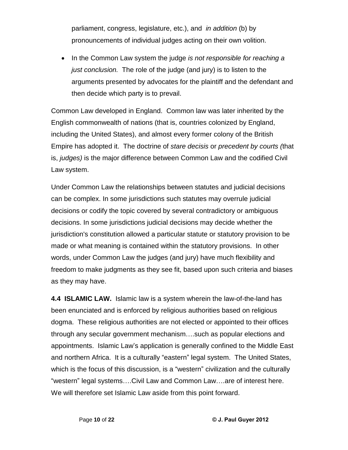parliament, congress, legislature, etc.), and in addition (b) by pronouncements of individual judges acting on their own volition.

 $\bullet$  In the Common Law system the judge is not responsible for reaching a just conclusion. The role of the judge (and jury) is to listen to the arguments presented by advocates for the plaintiff and the defendant and then decide which party is to prevail.

Common Law developed in England. Common law was later inherited by the English commonwealth of nations (that is, countries colonized by England, including the United States), and almost every former colony of the British Empire has adopted it. The doctrine of stare decisis or precedent by courts (that is, judges) is the major difference between Common Law and the codified Civil Law system.

Under Common Law the relationships between statutes and judicial decisions can be complex. In some jurisdictions such statutes may overrule judicial decisions or codify the topic covered by several contradictory or ambiguous decisions. In some jurisdictions judicial decisions may decide whether the jurisdiction's constitution allowed a particular statute or statutory provision to be made or what meaning is contained within the statutory provisions. In other words, under Common Law the judges (and jury) have much flexibility and freedom to make judgments as they see fit, based upon such criteria and biases as they may have.

**4.4 ISLAMIC LAW.** Islamic law is a system wherein the law-of-the-land has been enunciated and is enforced by religious authorities based on religious dogma. These religious authorities are not elected or appointed to their offices the contribution and the concreting congress dimensions and comparison and<br>dogma. These religious authorities are not elected or appointed to their offices<br>through any secular government mechanism....such as popular electi appoint where rengions changing in the ends of suppointed to their entriests<br>through any secular government mechanism....such as popular elections and<br>appointments. Islamic Law's application is generally confined to the Mi an sagn any secular geven mean meshang minosen as pepular sistems and<br>appointments. Islamic Law's application is generally confined to the Middle East<br>and northern Africa. It is a culturally "eastern" legal system. The Uni epponding increasing same epphoements generally commoders increased sectional and northern Africa. It is a culturally "eastern" legal system. The United States,<br>which is the focus of this discussion, is a "western" civiliz which is the focus of this discussion, is a "western" civilization and the culturally<br>"western" legal systems….Civil Law and Common Law….are of interest here. We will therefore set Islamic Law aside from this point forward.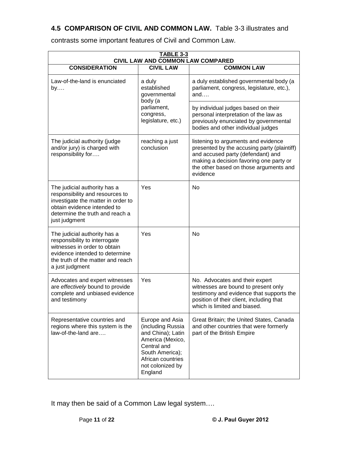#### **4.5 COMPARISON OF CIVIL AND COMMON LAW.** Table 3-3 illustrates and

| <b>TABLE 3-3</b><br>CIVIL LAW AND COMMON LAW COMPARED                                                                                                                                    |                                                                                                                                                                     |                                                                                                                                                                                                                          |  |
|------------------------------------------------------------------------------------------------------------------------------------------------------------------------------------------|---------------------------------------------------------------------------------------------------------------------------------------------------------------------|--------------------------------------------------------------------------------------------------------------------------------------------------------------------------------------------------------------------------|--|
| <b>CONSIDERATION</b>                                                                                                                                                                     | <b>CIVIL LAW</b>                                                                                                                                                    | <b>COMMON LAW</b>                                                                                                                                                                                                        |  |
| Law-of-the-land is enunciated<br>by                                                                                                                                                      | a duly<br>established<br>governmental<br>body (a                                                                                                                    | a duly established governmental body (a<br>parliament, congress, legislature, etc.),<br>and                                                                                                                              |  |
|                                                                                                                                                                                          | parliament,<br>congress,<br>legislature, etc.)                                                                                                                      | by individual judges based on their<br>personal interpretation of the law as<br>previously enunciated by governmental<br>bodies and other individual judges                                                              |  |
| The judicial authority (judge<br>and/or jury) is charged with<br>responsibility for                                                                                                      | reaching a just<br>conclusion                                                                                                                                       | listening to arguments and evidence<br>presented by the accusing party (plaintiff)<br>and accused party (defendant) and<br>making a decision favoring one party or<br>the other based on those arguments and<br>evidence |  |
| The judicial authority has a<br>responsibility and resources to<br>investigate the matter in order to<br>obtain evidence intended to<br>determine the truth and reach a<br>just judgment | Yes                                                                                                                                                                 | No                                                                                                                                                                                                                       |  |
| The judicial authority has a<br>responsibility to interrogate<br>witnesses in order to obtain<br>evidence intended to determine<br>the truth of the matter and reach<br>a just judgment  | Yes                                                                                                                                                                 | No                                                                                                                                                                                                                       |  |
| Advocates and expert witnesses<br>are effectively bound to provide<br>complete and unbiased evidence<br>and testimony                                                                    | Yes                                                                                                                                                                 | No. Advocates and their expert<br>witnesses are bound to present only<br>testimony and evidence that supports the<br>position of their client, including that<br>which is limited and biased.                            |  |
| Representative countries and<br>regions where this system is the<br>law-of-the-land are                                                                                                  | Europe and Asia<br>(including Russia<br>and China); Latin<br>America (Mexico,<br>Central and<br>South America);<br>African countries<br>not colonized by<br>England | Great Britain; the United States, Canada<br>and other countries that were formerly<br>part of the British Empire                                                                                                         |  |

contrasts some important features of Civil and Common Law.

Page **<sup>11</sup>** of **<sup>22</sup> © J. Paul Guyer <sup>2012</sup>** It may then be said of a Common Law legal system….<br>It may then be said of a Common Law legal system….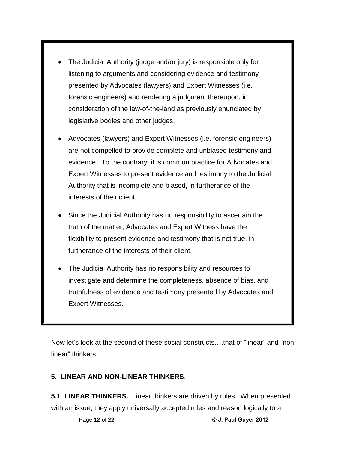The Judicial Authority (judge and/or jury) is responsible only for listening to arguments and considering evidence and testimony presented by Advocates (lawyers) and Expert Witnesses (i.e. forensic engineers) and rendering a judgment thereupon, in consideration of the law-of-the-land as previously enunciated by legislative bodies and other judges.

Ī

- Advocates (lawyers) and Expert Witnesses (i.e. forensic engineers) are not compelled to provide complete and unbiased testimony and evidence. To the contrary, it is common practice for Advocates and Expert Witnesses to present evidence and testimony to the Judicial Authority that is incomplete and biased, in furtherance of the interests of their client.
- Since the Judicial Authority has no responsibility to ascertain the truth of the matter, Advocates and Expert Witness have the flexibility to present evidence and testimony that is not true, in furtherance of the interests of their client.
- The Judicial Authority has no responsibility and resources to investigate and determine the completeness, absence of bias, and truthfulness of evidence and testimony presented by Advocates and Expert Witnesses.

Now letí<sup>s</sup> look at the second of these social constructsÖ.that of <sup>ì</sup>linear<sup>î</sup> and <sup>ì</sup>non-Now let's look at the<br>linear" thinkers.

#### **5. LINEAR AND NON-LINEAR THINKERS**.

with an issue, they apply universally accepted rules and reason logically to a<br>Page 12 of 22 **Paul Guyer 2012 5.1 LINEAR THINKERS.** Linear thinkers are driven by rules. When presented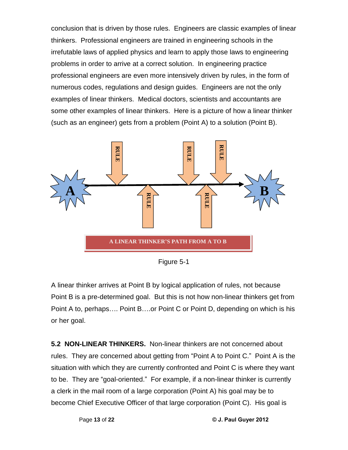conclusion that is driven by those rules. Engineers are classic examples of linear thinkers. Professional engineers are trained in engineering schools in the irrefutable laws of applied physics and learn to apply those laws to engineering problems in order to arrive at a correct solution. In engineering practice professional engineers are even more intensively driven by rules, in the form of numerous codes, regulations and design guides. Engineers are not the only examples of linear thinkers. Medical doctors, scientists and accountants are some other examples of linear thinkers. Here is a picture of how a linear thinker (such as an engineer) gets from a problem (Point A) to a solution (Point B).



Figure 5-1

A linear thinker arrives at Point B by logical application of rules, not because Point B is a pre-determined goal. But this is not how non-linear thinkers get from Point A to, perhaps.... Point B....or Point C or Point D, depending on which is his or her goal.

Page **<sup>13</sup>** of **<sup>22</sup> © J. Paul Guyer <sup>2012</sup>** become Chief Executive Officer of that large corporation (Point C). His goal is **5.2 NON-LINEAR THINKERS.** Non-linear thinkers are not concerned about rules. They are concerned about getting from "Point A to Point C." Point A is the situation with which they are currently confronted and Point C is where they want these they are senselies are surgining from them is a surface than the model situation with which they are currently confronted and Point C is where they want<br>to be. They are "goal-oriented." For example, if a non-linear t a clerk in the mail room of a large corporation (Point A) his goal may be to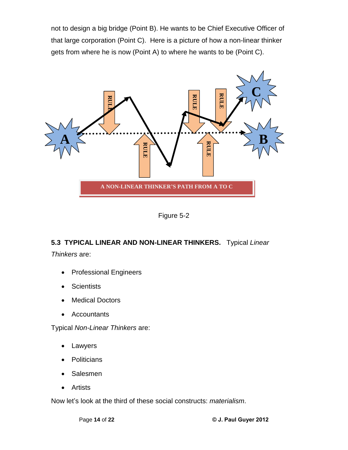not to design a big bridge (Point B). He wants to be Chief Executive Officer of that large corporation (Point C). Here is a picture of how a non-linear thinker gets from where he is now (Point A) to where he wants to be (Point C).



Figure 5-2

#### **5.3 TYPICAL LINEAR AND NON-LINEAR THINKERS.** Typical Linear

Thinkers are:

- **•** Professional Engineers
- **Scientists**  $\bullet$
- Medical Doctors  $\bullet$
- Accountants

Typical Non-Linear Thinkers are:

- Lawyers  $\bullet$
- Politicians  $\bullet$
- Salesmen  $\bullet$
- Artists

Page **<sup>14</sup>** of **<sup>22</sup> © J. Paul Guyer <sup>2012</sup>** • Artists<br>Now let's look at the third of these social constructs: *materialism*.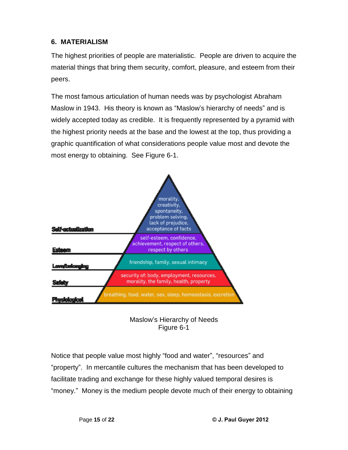#### **6. MATERIALISM**

The highest priorities of people are materialistic. People are driven to acquire the material things that bring them security, comfort, pleasure, and esteem from their peers.

The most famous articulation of human needs was by psychologist Abraham Maslow in 1943. His theory is known as "Maslow's hierarchy of needs" and is widely accepted today as credible. It is frequently represented by a pyramid with the highest priority needs at the base and the lowest at the top, thus providing a graphic quantification of what considerations people value most and devote the most energy to obtaining. See Figure 6-1.





Notice that people value most highly "food and water", "resources" and votice that people value most highly "food and water", "resources" and<br>property". In mercantile cultures the mechanism that has been developed to facilitate trading and exchange for these highly valued temporal desires is "money." Money is the medium people devote much of their energy to obtaining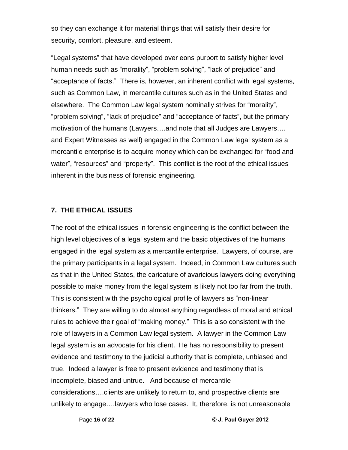so they can exchange it for material things that will satisfy their desire for security, comfort, pleasure, and esteem.

Legal systems<sup>î</sup> that have developed over eons purport to satisfy higher level human needs such as "morality", "problem solving", "lack of prejudice" and "acceptance of facts." There is, however, an inherent conflict with legal systems, such as Common Law, in mercantile cultures such as in the United States and else prace of these measures, non-comparational solution manages by strive<br>such as Common Law, in mercantile cultures such as in the United States and<br>elsewhere. The Common Law legal system nominally strives for "morality" problem as solution sant, in insteading sand so sact as in the stime states and<br>elsewhere. The Common Law legal system nominally strives for "morality",<br>problem solving", "lack of prejudice" and "acceptance of facts", but motivation the common can regar oyet in nominally elimeter therally,<br>"problem solving", "lack of prejudice" and "acceptance of facts", but the primary<br>motivation of the humans (Lawyers....and note that all Judges are Lawye and Expert Witnesses as well) engaged in the Common Law legal system as a mercantile enterprise (san joven take there are easy of a sample in the money and Expert Witnesses as well) engaged in the Common Law legal system as a<br>mercantile enterprise is to acquire money which can be exchanged for " water and the rest control of the rest, in the common term regaring control in<br>mercantile enterprise is to acquire money which can be exchanged for "food and<br>water", "resources" and "property". This conflict is the root of inherent in the business of forensic engineering.

#### **7. THE ETHICAL ISSUES**

unlikely to engage....lawyers who lose cases. It, therefore, is not unreasonable<br>Page 16 of 22 **Durier** © J. Paul Guyer 2012 The root of the ethical issues in forensic engineering is the conflict between the high level objectives of a legal system and the basic objectives of the humans engaged in the legal system as a mercantile enterprise. Lawyers, of course, are the primary participants in a legal system. Indeed, in Common Law cultures such as that in the United States, the caricature of avaricious lawyers doing everything possible to make money from the legal system is likely not too far from the truth. This is consistent with the psychological profile of lawyers as "non-linear thinkers.<sup>î</sup> They are willing to do almost anything regardless of moral and ethical rules to achieve their goal of "making money." This is also consistent with the role of lawyers in a Common Law legal system. A lawyer in the Common Law legal system is an advocate for his client. He has no responsibility to present evidence and testimony to the judicial authority that is complete, unbiased and true. Indeed a lawyer is free to present evidence and testimony that is incomplete, biased and untrue. And because of mercantile considerations....clients are uphosin structure and resulting that to<br>incomplete, biased and untrue. And because of mercantile<br>considerations....clients are unlikely to return to, and prospective clients are uncempress, and cannot and are condensed by increments<br>considerations....clients are unlikely to return to, and prospective clients are<br>unlikely to engage....lawyers who lose cases. It, therefore, is not unreasonable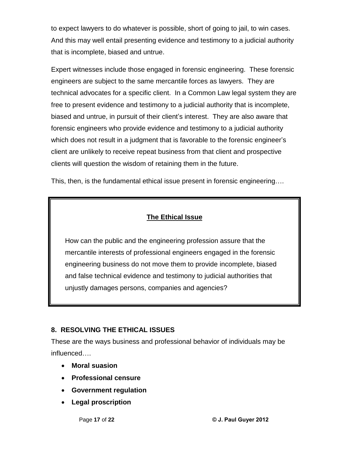to expect lawyers to do whatever is possible, short of going to jail, to win cases. And this may wellentail presenting evidence and testimony to a judicial authority that is incomplete, biased and untrue.

Expert witnesses include those engaged in forensic engineering. These forensic engineers are subject to the same mercantile forces as lawyers. They are technical advocates for a specific client. In a Common Law legal system they are free to present evidence and testimony to a judicial authority that is incomplete, biased and untrue, in pursuit of their clientí<sup>s</sup> interest. They are also aware that forensic engineers who provide evidence and testimony to a judicial authority which does not result in a judgment that is favorable to the forensic engineer's client are unlikely to receive repeat business from that client and prospective clients will question the wisdom of retaining them in the future.

This, then, is the fundamental ethical issue present in forensic engineering....

#### **The Ethical Issue**

How can the public and the engineering profession assure that the mercantile interests of professional engineers engaged in the forensic engineering business do not move them to provide incomplete, biased and false technical evidence and testimony to judicial authorities that unjustly damages persons, companies and agencies?

#### **8. RESOLVING THE ETHICAL ISSUES**

These are the ways business and professional behavior of individuals may be Influenced....<br>These are the way<br>influenced....

- **Moral suasion**
- **Professional censure**
- **Government regulation**
- **Legal proscription**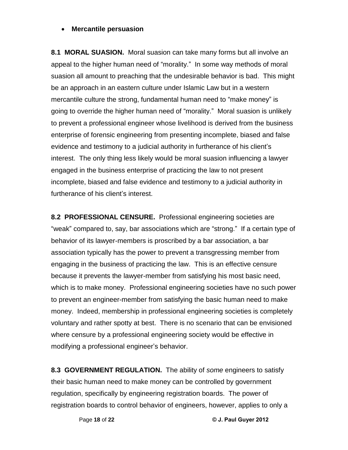#### **Mercantile persuasion**

**8.1 MORAL SUASION.** Moral suasion can take many forms but all involve an appeal to the higher human need of "morality." In some way methods of moral suasion all amount to preaching that the undesirable behavior is bad. This might be an approach in an eastern culture under Islamic Law but in a western mercantile culture the strong and the strong term of strate is started the magnetic<br>be an approach in an eastern culture under Islamic Law but in a western<br>mercantile culture the strong, fundamental human need to "make mon going to over-present in the subset of the matter such the model in the most of.<br>The mercantile culture the strong, fundamental human need to "make money" is<br>going to override the higher human need of "morality." Moral sua to prevent a professional engineer whose livelihood is derived from the business enterprise of forensic engineering from presenting incomplete, biased and false evidence and testimony to a judicial authority in furtherance of his client's<br>evidence and testimony to a judicial authority in furtherance of his client's interest. The only thing less likely would be moral suasion influencing a lawyer engaged in the business enterprise of practicing the law to not present incomplete, biased and false evidence and testimony to a judicial authority in engaged in the business sincrepties of<br>incomplete, biased and false evidence<br>furtherance of his client's interest.

**8.2 PROFESSIONAL CENSURE.** Professional engineering societies are "weak" compared to, say, bar associations which are "strong." If a certain type of behavior of its lawyer-members is proscribed by a bar association, a bar association typically has the power to prevent a transgressing member from engaging in the business of practicing the law.This is an effective censure because it prevents the lawyer-member from satisfying his most basic need, which is to make money. Professional engineering societies have no such power to prevent an engineer-member from satisfying the basic human need to make money. Indeed, membership in professional engineering societies is completely voluntary and rather spotty at best. There is no scenario that can be envisioned where censure by a professional engineering society would be effective in manally and taken openy and continuate the conditional engineering socienties.<br>
modifying a professional engineer's behavior.

Page **<sup>18</sup>** of **<sup>22</sup> © J. Paul Guyer <sup>2012</sup>** registration boards to control behavior of engineers, however, applies to only a**8.3 GOVERNMENT REGULATION.** The ability of some engineers to satisfy their basic human need to make money can be controlled by government regulation, specifically by engineering registration boards. The power of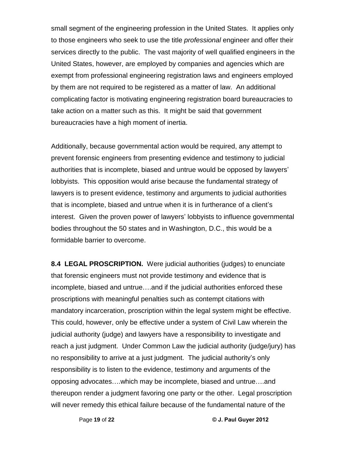small segment of the engineering profession in the United States. It applies only to those engineers who seek to use the title *professional* engineer and offer their services directly to the public. The vast majority of well qualified engineers in the United States, however, are employed by companies and agencies which are exempt from professional engineering registration laws and engineers employed by them are not required to be registered as a matter of law. An additional complicating factor is motivating engineering registration board bureaucracies to take action on a matter such as this. It might be said that government bureaucracies have a high moment of inertia.

Additionally, because governmental action would be required, any attempt to prevent forensic engineers from presenting evidence and testimony to judicial authorities, a control governmental trader include to quite a, any attempt to<br>prevent forensic engineers from presenting evidence and testimony to judicial<br>authorities that is incomplete, biased and untrue would be opposed lobbyists. This opposition would arise because the fundamental strategy of lawyers is to present evidence, testimony and arguments to judicial authorities that is incomplete, biased and untrue when it is in furtherance of a client's interest. Given the proven power of lawyers' lobbyists to influence governmental bodies throughout the 50 states and in Washington, D.C., this would be a formidable barrier to overcome.

Page **<sup>19</sup>** of **<sup>22</sup> © J. Paul Guyer <sup>2012</sup>** will never remedy this ethical failure because of the fundamental nature of the**8.4 LEGAL PROSCRIPTION.** Were judicial authorities (judges) to enunciate that forensic engineers must not provide testimony and evidence that is incomplete, biased and untrue...and if the judicial authorities enforced these proscriptions with meaningful penalties such as contempt citations with mandatory incarceration, proscription within the legalsystem might be effective. This could, however, only be effective under a system of Civil Law wherein the judicial authority (judge) and lawyers have a responsibility to investigate and reach a just judgment. Under Common Law the judicial authority (judge/jury) has no responsibility (gange) and rangers made at each persusting to arrive any measure and<br>reach a just judgment. Under Common Law the judicial authority (judge/jury) has<br>no responsibility to arrive at a just judgment. The ju responsibility is to listen to the evidence, testimony and arguments of the no responsibility to arrive at a just judgment. The judicial authority's only<br>responsibility is to listen to the evidence, testimony and arguments of the<br>opposing advocates....which may be incomplete, biased and untrue.... thereupon render a judgment favoring one party or the other. Legal proscription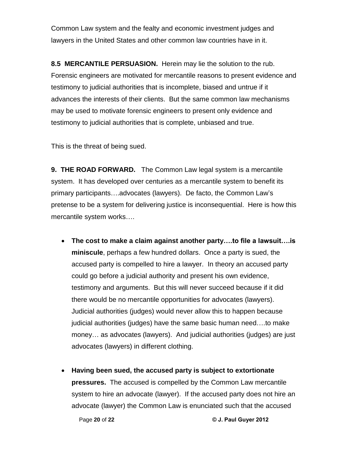Common Law system and the fealty and economic investment judges and lawyers in the United States and other common law countries have in it.

**8.5 MERCANTILE PERSUASION.** Herein may lie the solution to the rub.<br>Forensic engineers are motivated for mercantile reasons to present evidence and testimony to judicial authorities that is incomplete, biased and untrue if it advances the interests of their clients. But the same common law mechanisms may be used to motivate forensic engineers to present only evidence and testimony to judicial authorities that is complete, unbiased and true.

This is the threat of being sued.

**9. THE ROAD FORWARD.** The Common Law legal system is a mercantile system. It has developed over centuries as a mercantile system to benefit its primary participants.<br>System. It has developed over centuries as a mercantile system to benefit its<br>primary participants....advocates (lawyers). De facto, the Common Law's pretense to be a system for delivering justice is inconsequential. Here is how this printery participarmer research<br>pretense to be a system for deliv<br>mercantile system works.... **The cost to make a claim against another party....to file a lawsuit....is** 

- **miniscule**, perhaps a few hundred dollars. Once a party is sued, the accused party is compelled to hire a lawyer. In theory an accused party could go before a judicial authority and present his own evidence, testimony and arguments. But this will never succeed because if it did there would be no mercantile opportunities for advocates (lawyers). Judicial authorities (judges) would never allow this to happen because incret institute increaming uppertunities for autrestice (iamysre).<br>Judicial authorities (judges) would never allow this to happen because<br>judicial authorities (judges) have the same basic human need....to make judicial authorities (judges) have the same basic human need….to make<br>money… as advocates (lawyers). And judicial authorities (judges) are just advocates (lawyers) in different clothing.
- **Having been sued, the accused party is subject to extortionate**  $\bullet$ **pressures.** The accused is compelled by the Common Law mercantile system to hire an advocate (lawyer). If the accused party does not hire an Page **<sup>20</sup>** of **<sup>22</sup> © J. Paul Guyer <sup>2012</sup>** advocate (lawyer) the Common Law is enunciated such that the accused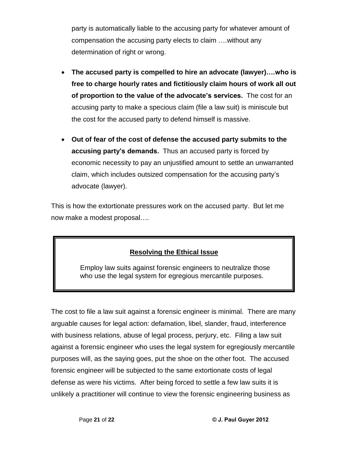party is automatically liable to the accusing party for whatever amount of party is automatically liable to the accusing party for whatever amount <mark>c</mark><br>compensation the accusing party elects to claim ….without any determination of right or wrong.

- **The accused party is compelled to hire an advocate (lawyer)....who is free to charge hourly rates and fictitiously claim hours of work all out of the advanced party to dempender to the advancedite (i.e., ) c) intuities to**<br>free to charge hourly rates and fictitiously claim hours of work all out<br>of proportion to the value of the advocate's services. The cost fo accusing party to make a specious claim (file a law suit) is miniscule but the cost for the accused party to defend himself is massive.
- **Out of fear of the cost of defense the accused party submits to the Out of fear of the cost of defense the accused party submits to the<br>accusing party's demands. Thus an accused party is forced by** economic necessity to pay an unjustified amount to settle an unwarranted coopering party o actitution times arresoscourparty to to cool by<br>economic necessity to pay an unjustified amount to settle an unwarranted<br>claim, which includes outsized compensation for the accusing party's advocate (lawyer).

This is how the extortionate pressures work on the accused party. But let me This is how the extortionate pressure<br>now make a modest proposal….

#### **Resolving the Ethical Issue**

Employ law suits against forensic engineers to neutralize those who use the legal system for egregious mercantile purposes.

The cost to file a law suit against a forensic engineer is minimal. There are many arguable causes for legal action: defamation, libel, slander, fraud, interference with business relations, abuse of legal process, perjury, etc. Filing a law suit against a forensic engineer who uses the legal system for egregiously mercantile purposes will, as the saying goes, put the shoe on the other foot. The accused forensic engineer will be subjected to the same extortionate costs of legal defense as were his victims. After being forced to settle a few law suits it is unlikely a practitioner will continue to view the forensic engineering business as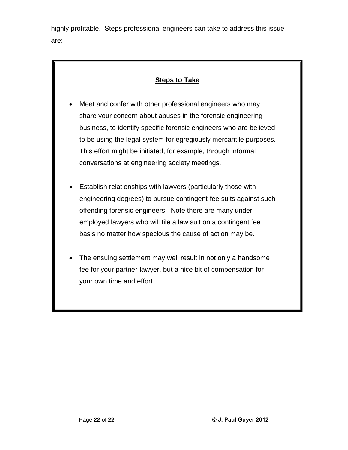highly profitable. Steps professional engineers can take to address this issue are:

#### **Steps to Take**

- Meet and confer with other professional engineers who may share your concern about abuses in the forensic engineering business, to identify specific forensic engineers who are believed to be using the legal system for egregiously mercantile purposes. This effort might be initiated, for example, through informal conversations at engineering society meetings.
- Establish relationships with lawyers (particularly those with engineering degrees) to pursue contingent-fee suits against such offending forensic engineers. Note there are many under employed lawyers who will file a law suit on a contingent fee basis no matter how specious the cause of action may be.
- The ensuing settlement may well result in not only a handsome fee for your partner-lawyer, but a nice bit of compensation for your own time and effort.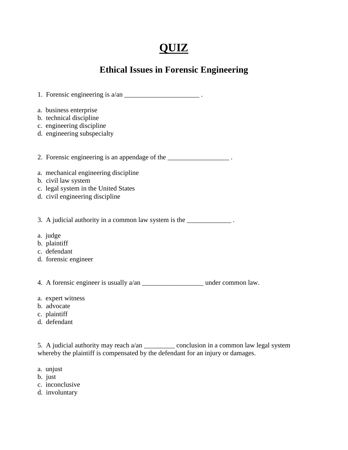# **QUIZ**

## **Ethical Issues in Forensic Engineering**

| 1. Forensic engineering is $a/an$ ________________________________.                                                                                                              |  |
|----------------------------------------------------------------------------------------------------------------------------------------------------------------------------------|--|
| a. business enterprise<br>b. technical discipline<br>c. engineering discipline<br>d. engineering subspecialty                                                                    |  |
| 2. Forensic engineering is an appendage of the ________________.                                                                                                                 |  |
| a. mechanical engineering discipline<br>b. civil law system<br>c. legal system in the United States<br>d. civil engineering discipline                                           |  |
| 3. A judicial authority in a common law system is the ______________.                                                                                                            |  |
| a. judge<br>b. plaintiff<br>c. defendant<br>d. forensic engineer                                                                                                                 |  |
|                                                                                                                                                                                  |  |
| a. expert witness<br>b. advocate<br>c. plaintiff<br>d. defendant                                                                                                                 |  |
| 5. A judicial authority may reach a/an ______________ conclusion in a common law legal system<br>whereby the plaintiff is compensated by the defendant for an injury or damages. |  |

- a. unjust
- b. just
- c. inconclusive
- d. involuntary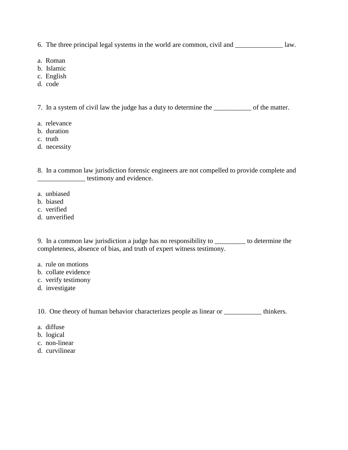6. The three principal legal systems in the world are common, civil and \_\_\_\_\_\_\_\_\_\_\_\_\_\_ law.

- a. Roman
- b. Islamic
- c. English
- d. code

7. In a system of civil law the judge has a duty to determine the \_\_\_\_\_\_\_\_\_\_\_ of the matter.

- a. relevance
- b. duration
- c. truth
- d. necessity

8. In a common law jurisdiction forensic engineers are not compelled to provide complete and **EXECUTE:** testimony and evidence.

- a. unbiased
- b. biased
- c. verified
- d. unverified

9. In a common law jurisdiction a judge has no responsibility to \_\_\_\_\_\_\_\_\_ to determine the completeness, absence of bias, and truth of expert witness testimony.

- a. rule on motions
- b. collate evidence
- c. verify testimony
- d. investigate

10. One theory of human behavior characterizes people as linear or \_\_\_\_\_\_\_\_\_\_\_ thinkers.

- a. diffuse
- b. logical
- c. non-linear
- d. curvilinear